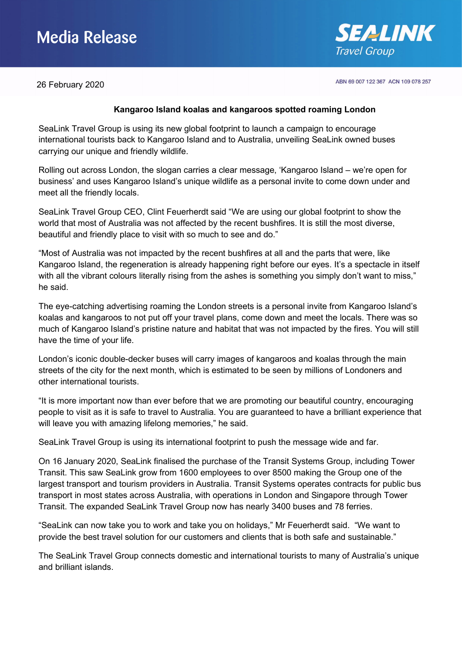## Media Release



ABN 69 007 122 367 ACN 109 078 257

26 February 2020

### **Kangaroo Island koalas and kangaroos spotted roaming London**

SeaLink Travel Group is using its new global footprint to launch a campaign to encourage international tourists back to Kangaroo Island and to Australia, unveiling SeaLink owned buses carrying our unique and friendly wildlife.

Rolling out across London, the slogan carries a clear message, 'Kangaroo Island – we're open for business' and uses Kangaroo Island's unique wildlife as a personal invite to come down under and meet all the friendly locals.

SeaLink Travel Group CEO, Clint Feuerherdt said "We are using our global footprint to show the world that most of Australia was not affected by the recent bushfires. It is still the most diverse, beautiful and friendly place to visit with so much to see and do."

"Most of Australia was not impacted by the recent bushfires at all and the parts that were, like Kangaroo Island, the regeneration is already happening right before our eyes. It's a spectacle in itself with all the vibrant colours literally rising from the ashes is something you simply don't want to miss," he said.

The eye-catching advertising roaming the London streets is a personal invite from Kangaroo Island's koalas and kangaroos to not put off your travel plans, come down and meet the locals. There was so much of Kangaroo Island's pristine nature and habitat that was not impacted by the fires. You will still have the time of your life.

London's iconic double-decker buses will carry images of kangaroos and koalas through the main streets of the city for the next month, which is estimated to be seen by millions of Londoners and other international tourists.

"It is more important now than ever before that we are promoting our beautiful country, encouraging people to visit as it is safe to travel to Australia. You are guaranteed to have a brilliant experience that will leave you with amazing lifelong memories," he said.

SeaLink Travel Group is using its international footprint to push the message wide and far.

On 16 January 2020, SeaLink finalised the purchase of the Transit Systems Group, including Tower Transit. This saw SeaLink grow from 1600 employees to over 8500 making the Group one of the largest transport and tourism providers in Australia. Transit Systems operates contracts for public bus transport in most states across Australia, with operations in London and Singapore through Tower Transit. The expanded SeaLink Travel Group now has nearly 3400 buses and 78 ferries.

"SeaLink can now take you to work and take you on holidays," Mr Feuerherdt said. "We want to provide the best travel solution for our customers and clients that is both safe and sustainable."

The SeaLink Travel Group connects domestic and international tourists to many of Australia's unique and brilliant islands.